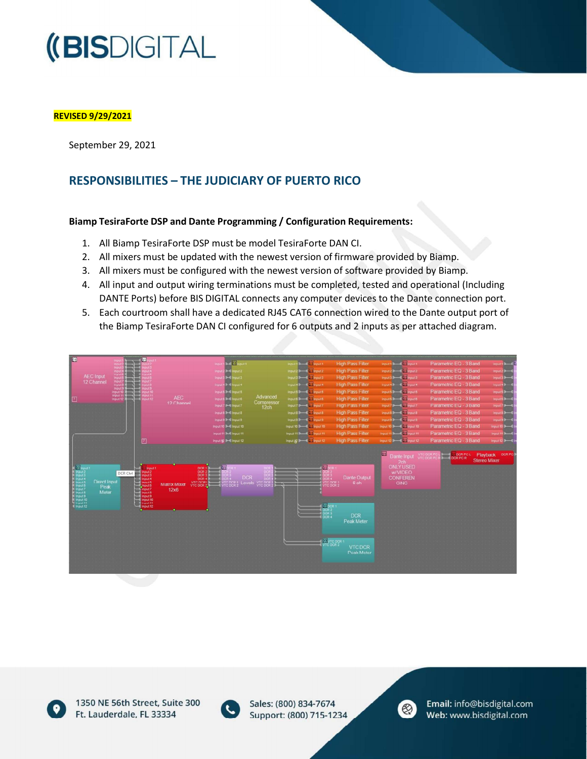## **(BISDIGITAL**

#### REVISED 9/29/2021

September 29, 2021

### RESPONSIBILITIES - THE JUDICIARY OF PUERTO RICO

#### Biamp TesiraForte DSP and Dante Programming / Configuration Requirements:

- 1. All Biamp TesiraForte DSP must be model TesiraForte DAN CI.
- 2. All mixers must be updated with the newest version of firmware provided by Biamp.
- 3. All mixers must be configured with the newest version of software provided by Biamp.
- 4. All input and output wiring terminations must be completed, tested and operational (Including DANTE Ports) before BIS DIGITAL connects any computer devices to the Dante connection port.
- 5. Each courtroom shall have a dedicated RJ45 CAT6 connection wired to the Dante output port of the Biamp TesiraForte DAN CI configured for 6 outputs and 2 inputs as per attached diagram.





1350 NE 56th Street, Suite 300 Ft. Lauderdale, FL 33334



Sales: (800) 834-7674 Support: (800) 715-1234



V13.06092021 12.07092021 12.07092021 12.07092021 12.07092021 12.07092020 12.070920

Email: info@bisdigital.com Web: www.bisdigital.com